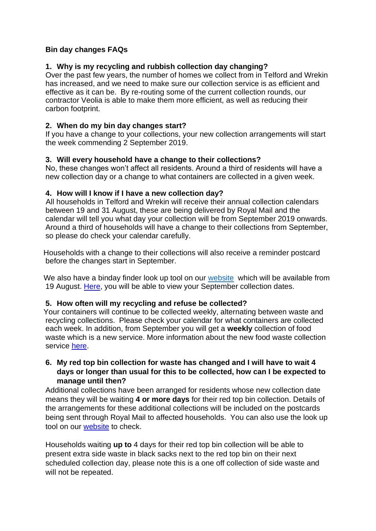# **Bin day changes FAQs**

# **1. Why is my recycling and rubbish collection day changing?**

Over the past few years, the number of homes we collect from in Telford and Wrekin has increased, and we need to make sure our collection service is as efficient and effective as it can be. By re-routing some of the current collection rounds, our contractor Veolia is able to make them more efficient, as well as reducing their carbon footprint.

### **2. When do my bin day changes start?**

If you have a change to your collections, your new collection arrangements will start the week commending 2 September 2019.

### **3. Will every household have a change to their collections?**

No, these changes won't affect all residents. Around a third of residents will have a new collection day or a change to what containers are collected in a given week.

#### **4. How will I know if I have a new collection day?**

 All households in Telford and Wrekin will receive their annual collection calendars between 19 and 31 August, these are being delivered by Royal Mail and the calendar will tell you what day your collection will be from September 2019 onwards. Around a third of households will have a change to their collections from September, so please do check your calendar carefully.

 Households with a change to their collections will also receive a reminder postcard before the changes start in September.

We also have a binday finder look up tool on our [website](http://www.telford.gov.uk/recycling) which will be available from 19 August. [Here,](http://www.telford.gov.uk/recycling) you will be able to view your September collection dates.

#### **5. How often will my recycling and refuse be collected?**

 Your containers will continue to be collected weekly, alternating between waste and recycling collections. Please check your calendar for what containers are collected each week. In addition, from September you will get a **weekly** collection of food waste which is a new service. More information about the new food waste collection service [here.](http://www.telford.gov.uk/recyclefood)

### **6. My red top bin collection for waste has changed and I will have to wait 4 days or longer than usual for this to be collected, how can I be expected to manage until then?**

Additional collections have been arranged for residents whose new collection date means they will be waiting **4 or more days** for their red top bin collection. Details of the arrangements for these additional collections will be included on the postcards being sent through Royal Mail to affected households. You can also use the look up tool on our [website](http://www.telford.gov.uk/recycling) to check.

Households waiting **up to** 4 days for their red top bin collection will be able to present extra side waste in black sacks next to the red top bin on their next scheduled collection day, please note this is a one off collection of side waste and will not be repeated.